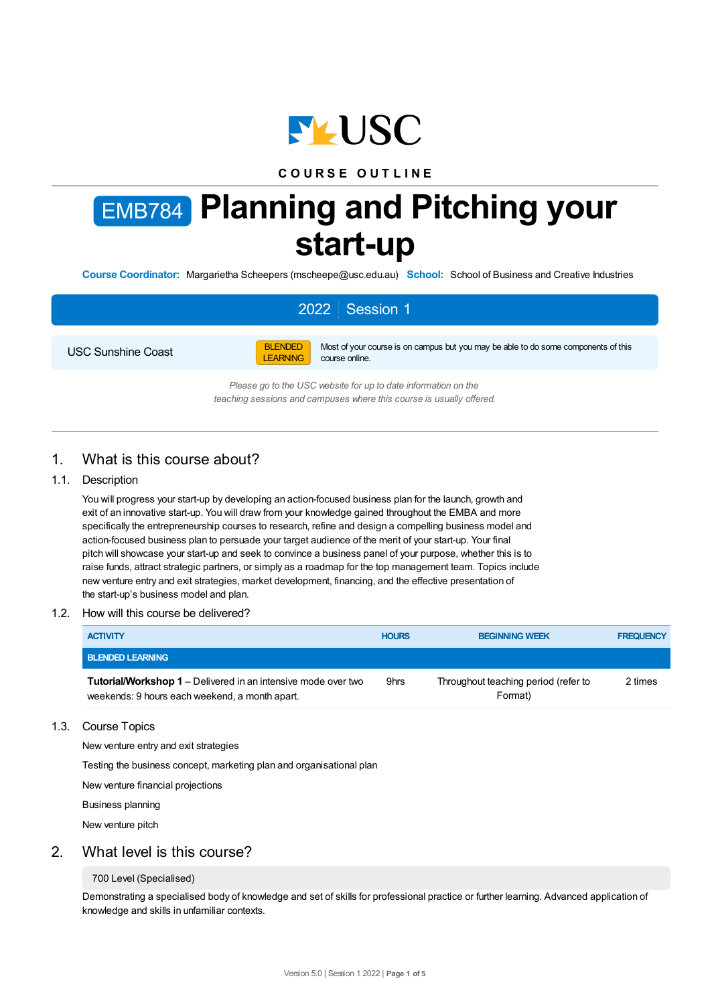

## **C O U R S E O U T L I N E**

# EMB784 **Planning and Pitching your start-up**

**Course Coordinator:** Margarietha Scheepers (mscheepe@usc.edu.au) **School:** School of Business and Creative Industries

# 2022 Session 1

USC Sunshine Coast



Most of your course is on campus but you may be able to do some components of this course online.

*Please go to the USC website for up to date information on the teaching sessions and campuses where this course is usually offered.*

# 1. What is this course about?

### 1.1. Description

You will progress your start-up by developing an action-focused business plan for the launch, growth and exit of an innovative start-up. You will draw from your knowledge gained throughout the EMBA and more specifically the entrepreneurship courses to research, refine and design a compelling business model and action-focused business plan to persuade your target audience of the merit of your start-up. Your final pitch will showcase your start-up and seek to convince a business panel of your purpose, whether this is to raise funds, attract strategic partners, or simply as a roadmap for the top management team. Topics include new venture entry and exit strategies, market development, financing, and the effective presentation of the start-up's business model and plan.

#### 1.2. How will this course be delivered?

| <b>ACTIVITY</b>                                                                                                        | <b>HOURS</b> | <b>BEGINNING WEEK</b>                           | <b>FREQUENCY</b> |
|------------------------------------------------------------------------------------------------------------------------|--------------|-------------------------------------------------|------------------|
| <b>BLENDED LEARNING</b>                                                                                                |              |                                                 |                  |
| <b>Tutorial/Workshop 1</b> – Delivered in an intensive mode over two<br>weekends: 9 hours each weekend, a month apart. | 9hrs         | Throughout teaching period (refer to<br>Format) | 2 times          |

#### 1.3. Course Topics

New venture entry and exit strategies

Testing the business concept, marketing plan and organisational plan

New venture financial projections

Business planning

New venture pitch

## 2. What level is this course?

#### 700 Level (Specialised)

Demonstrating a specialised body of knowledge and set of skills for professional practice or further learning. Advanced application of knowledge and skills in unfamiliar contexts.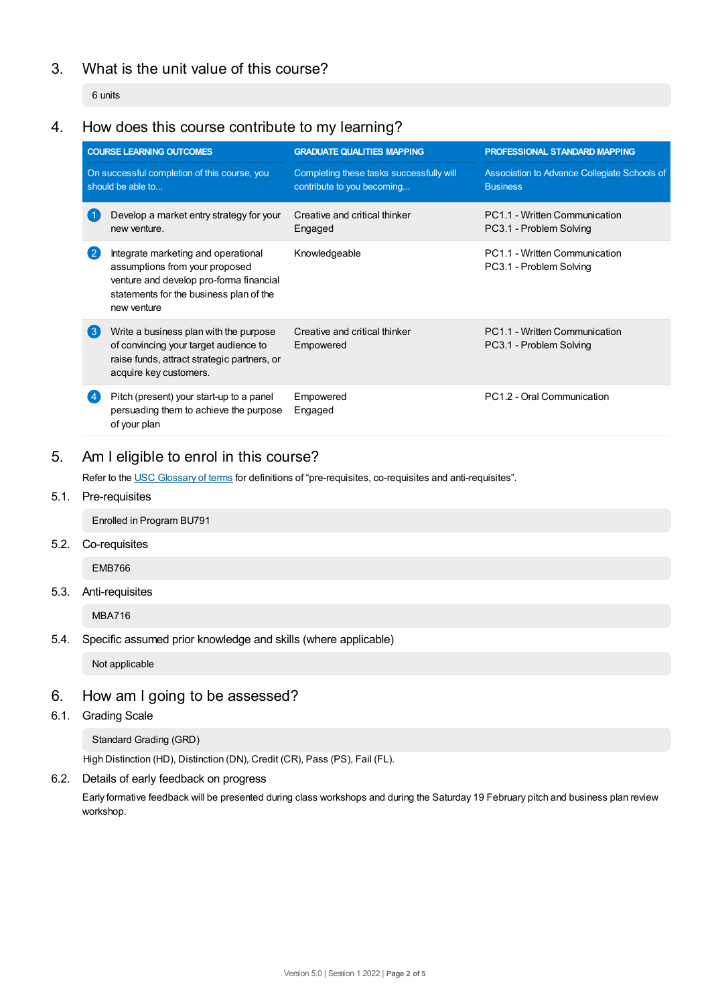# 3. What is the unit value of this course?

6 units

# 4. How does this course contribute to my learning?

| <b>COURSE LEARNING OUTCOMES</b>                                   |                                                                                                                                                                            | <b>GRADUATE QUALITIES MAPPING</b>                                      | PROFESSIONAL STANDARD MAPPING                                   |  |  |
|-------------------------------------------------------------------|----------------------------------------------------------------------------------------------------------------------------------------------------------------------------|------------------------------------------------------------------------|-----------------------------------------------------------------|--|--|
| On successful completion of this course, you<br>should be able to |                                                                                                                                                                            | Completing these tasks successfully will<br>contribute to you becoming | Association to Advance Collegiate Schools of<br><b>Business</b> |  |  |
| 〔1                                                                | Develop a market entry strategy for your<br>new venture.                                                                                                                   | Creative and critical thinker<br>Engaged                               | PC1.1 - Written Communication<br>PC3.1 - Problem Solving        |  |  |
| $\left( 2\right)$                                                 | Integrate marketing and operational<br>assumptions from your proposed<br>venture and develop pro-forma financial<br>statements for the business plan of the<br>new venture | Knowledgeable                                                          | PC1.1 - Written Communication<br>PC3.1 - Problem Solving        |  |  |
| $\left( 3 \right)$                                                | Write a business plan with the purpose<br>of convincing your target audience to<br>raise funds, attract strategic partners, or<br>acquire key customers.                   | Creative and critical thinker<br>Empowered                             | PC1.1 - Written Communication<br>PC3.1 - Problem Solving        |  |  |
|                                                                   | Pitch (present) your start-up to a panel<br>persuading them to achieve the purpose<br>of your plan                                                                         | Empowered<br>Engaged                                                   | PC1.2 - Oral Communication                                      |  |  |

# 5. Am Ieligible to enrol in this course?

Refer to the USC [Glossary](https://www.usc.edu.au/about/policies-and-procedures/glossary-of-terms-for-policy-and-procedures) of terms for definitions of "pre-requisites, co-requisites and anti-requisites".

5.1. Pre-requisites

Enrolled in Program BU791

5.2. Co-requisites

EMB766

5.3. Anti-requisites

MBA716

5.4. Specific assumed prior knowledge and skills (where applicable)

Not applicable

# 6. How am Igoing to be assessed?

6.1. Grading Scale

Standard Grading (GRD)

High Distinction (HD), Distinction (DN), Credit (CR), Pass (PS), Fail (FL).

6.2. Details of early feedback on progress

Early formative feedback will be presented during class workshops and during the Saturday 19 February pitch and business plan review workshop.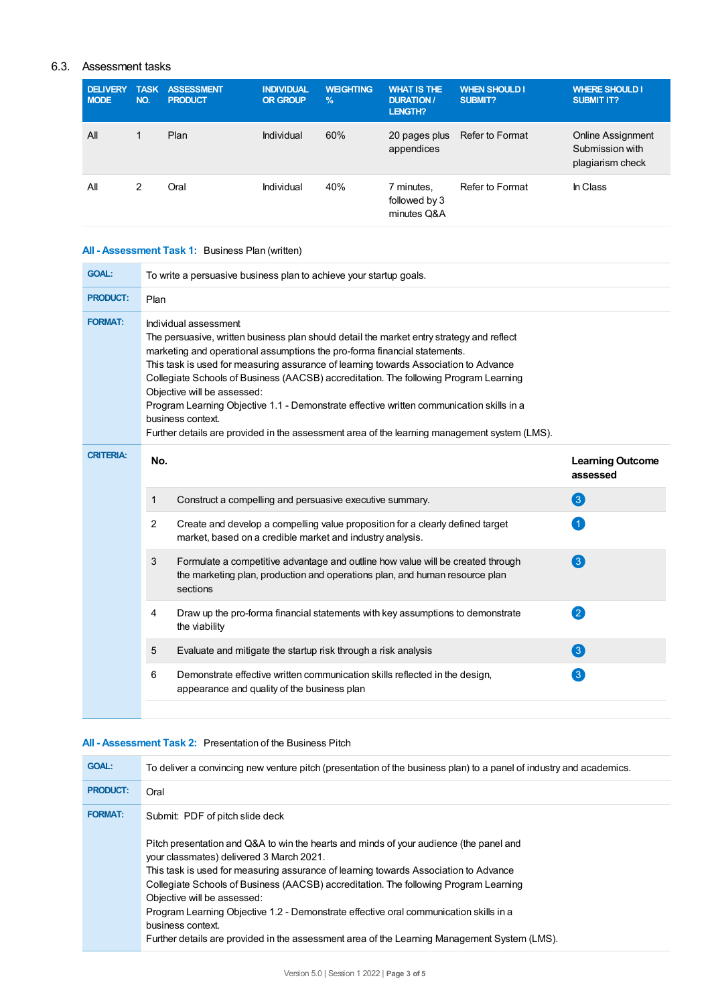## 6.3. Assessment tasks

| <b>DELIVERY</b><br><b>MODE</b> | <b>TASK</b><br>NO. | <b>ASSESSMENT</b><br><b>PRODUCT</b> | <b>INDIVIDUAL</b><br><b>OR GROUP</b> | <b>WEIGHTING</b><br>$\frac{9}{6}$ | <b>WHAT IS THE</b><br><b>DURATION /</b><br>LENGTH? | <b>WHEN SHOULD I</b><br>SUBMIT? | <b>WHERE SHOULD I</b><br><b>SUBMIT IT?</b>               |
|--------------------------------|--------------------|-------------------------------------|--------------------------------------|-----------------------------------|----------------------------------------------------|---------------------------------|----------------------------------------------------------|
| All                            |                    | Plan                                | Individual                           | 60%                               | 20 pages plus<br>appendices                        | <b>Refer to Format</b>          | Online Assignment<br>Submission with<br>plagiarism check |
| All                            | 2                  | Oral                                | Individual                           | 40%                               | 7 minutes,<br>followed by 3<br>minutes Q&A         | Refer to Format                 | In Class                                                 |

## **All - Assessment Task 1:** Business Plan (written)

| <b>GOAL:</b>     | To write a persuasive business plan to achieve your startup goals.                                                                                                                                                                                                                                                                                                                                                                                                                                                                                                                                                              |                                                                                                                                                                            |                                                          |  |
|------------------|---------------------------------------------------------------------------------------------------------------------------------------------------------------------------------------------------------------------------------------------------------------------------------------------------------------------------------------------------------------------------------------------------------------------------------------------------------------------------------------------------------------------------------------------------------------------------------------------------------------------------------|----------------------------------------------------------------------------------------------------------------------------------------------------------------------------|----------------------------------------------------------|--|
| <b>PRODUCT:</b>  | Plan                                                                                                                                                                                                                                                                                                                                                                                                                                                                                                                                                                                                                            |                                                                                                                                                                            |                                                          |  |
| <b>FORMAT:</b>   | Individual assessment<br>The persuasive, written business plan should detail the market entry strategy and reflect<br>marketing and operational assumptions the pro-forma financial statements.<br>This task is used for measuring assurance of learning towards Association to Advance<br>Collegiate Schools of Business (AACSB) accreditation. The following Program Learning<br>Objective will be assessed:<br>Program Learning Objective 1.1 - Demonstrate effective written communication skills in a<br>business context.<br>Further details are provided in the assessment area of the learning management system (LMS). |                                                                                                                                                                            |                                                          |  |
| <b>CRITERIA:</b> | No.                                                                                                                                                                                                                                                                                                                                                                                                                                                                                                                                                                                                                             |                                                                                                                                                                            | <b>Learning Outcome</b><br>assessed                      |  |
|                  | $\mathbf{1}$                                                                                                                                                                                                                                                                                                                                                                                                                                                                                                                                                                                                                    | Construct a compelling and persuasive executive summary.                                                                                                                   | 3                                                        |  |
|                  | $\overline{2}$                                                                                                                                                                                                                                                                                                                                                                                                                                                                                                                                                                                                                  | Create and develop a compelling value proposition for a clearly defined target<br>market, based on a credible market and industry analysis.                                | 4                                                        |  |
|                  | 3                                                                                                                                                                                                                                                                                                                                                                                                                                                                                                                                                                                                                               | Formulate a competitive advantage and outline how value will be created through<br>the marketing plan, production and operations plan, and human resource plan<br>sections | $\left(3\right)$                                         |  |
|                  | 4                                                                                                                                                                                                                                                                                                                                                                                                                                                                                                                                                                                                                               | Draw up the pro-forma financial statements with key assumptions to demonstrate<br>the viability                                                                            | 2                                                        |  |
|                  | 5                                                                                                                                                                                                                                                                                                                                                                                                                                                                                                                                                                                                                               | Evaluate and mitigate the startup risk through a risk analysis                                                                                                             | 3                                                        |  |
|                  | 6                                                                                                                                                                                                                                                                                                                                                                                                                                                                                                                                                                                                                               | Demonstrate effective written communication skills reflected in the design,<br>appearance and quality of the business plan                                                 | $\left[ \begin{smallmatrix} 3 \end{smallmatrix} \right]$ |  |
|                  |                                                                                                                                                                                                                                                                                                                                                                                                                                                                                                                                                                                                                                 |                                                                                                                                                                            |                                                          |  |

## **All - Assessment Task 2:** Presentation of the Business Pitch

| <b>GOAL:</b>    | To deliver a convincing new venture pitch (presentation of the business plan) to a panel of industry and academics.                                                                                                                                                                                                                                                                                                                                                                                |
|-----------------|----------------------------------------------------------------------------------------------------------------------------------------------------------------------------------------------------------------------------------------------------------------------------------------------------------------------------------------------------------------------------------------------------------------------------------------------------------------------------------------------------|
| <b>PRODUCT:</b> | Oral                                                                                                                                                                                                                                                                                                                                                                                                                                                                                               |
| <b>FORMAT:</b>  | Submit: PDF of pitch slide deck<br>Pitch presentation and Q&A to win the hearts and minds of your audience (the panel and<br>your classmates) delivered 3 March 2021.<br>This task is used for measuring assurance of learning towards Association to Advance<br>Collegiate Schools of Business (AACSB) accreditation. The following Program Learning<br>Objective will be assessed:<br>Program Learning Objective 1.2 - Demonstrate effective oral communication skills in a<br>business context. |
|                 | Further details are provided in the assessment area of the Learning Management System (LMS).                                                                                                                                                                                                                                                                                                                                                                                                       |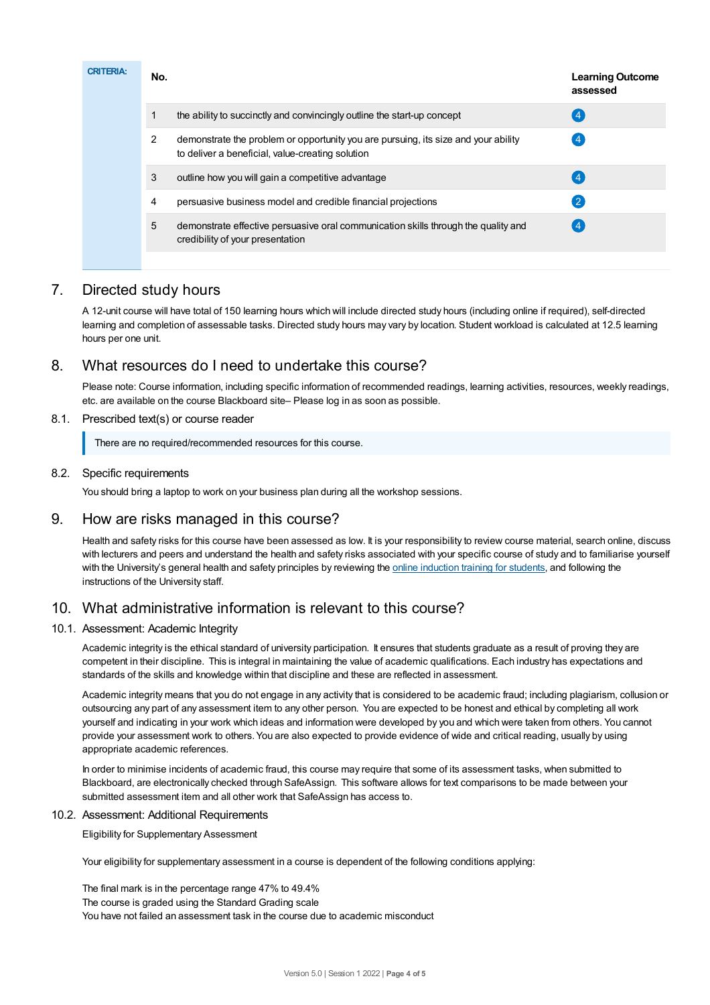| <b>CRITERIA:</b> | No. |                                                                                                                                        | <b>Learning Outcome</b><br>assessed |
|------------------|-----|----------------------------------------------------------------------------------------------------------------------------------------|-------------------------------------|
|                  | 1   | the ability to succinctly and convincingly outline the start-up concept                                                                | $\overline{4}$                      |
|                  | 2   | demonstrate the problem or opportunity you are pursuing, its size and your ability<br>to deliver a beneficial, value-creating solution | -4                                  |
|                  | 3   | outline how you will gain a competitive advantage                                                                                      |                                     |
|                  | 4   | persuasive business model and credible financial projections                                                                           | -2                                  |
|                  | 5   | demonstrate effective persuasive oral communication skills through the quality and<br>credibility of your presentation                 |                                     |

# 7. Directed study hours

A 12-unit course will have total of 150 learning hours which will include directed study hours (including online if required), self-directed learning and completion of assessable tasks. Directed study hours may vary by location. Student workload is calculated at 12.5 learning hours per one unit.

# 8. What resources do I need to undertake this course?

Please note: Course information, including specific information of recommended readings, learning activities, resources, weekly readings, etc. are available on the course Blackboard site– Please log in as soon as possible.

## 8.1. Prescribed text(s) or course reader

There are no required/recommended resources for this course.

## 8.2. Specific requirements

You should bring a laptop to work on your business plan during all the workshop sessions.

# 9. How are risks managed in this course?

Health and safety risks for this course have been assessed as low. It is your responsibility to review course material, search online, discuss with lecturers and peers and understand the health and safety risks associated with your specific course of study and to familiarise yourself with the University's general health and safety principles by reviewing the online [induction](https://online.usc.edu.au/webapps/blackboard/content/listContentEditable.jsp?content_id=_632657_1&course_id=_14432_1) training for students, and following the instructions of the University staff.

# 10. What administrative information is relevant to this course?

## 10.1. Assessment: Academic Integrity

Academic integrity is the ethical standard of university participation. It ensures that students graduate as a result of proving they are competent in their discipline. This is integral in maintaining the value of academic qualifications. Each industry has expectations and standards of the skills and knowledge within that discipline and these are reflected in assessment.

Academic integrity means that you do not engage in any activity that is considered to be academic fraud; including plagiarism, collusion or outsourcing any part of any assessment item to any other person. You are expected to be honest and ethical by completing all work yourself and indicating in your work which ideas and information were developed by you and which were taken from others. You cannot provide your assessment work to others.You are also expected to provide evidence of wide and critical reading, usually by using appropriate academic references.

In order to minimise incidents of academic fraud, this course may require that some of its assessment tasks, when submitted to Blackboard, are electronically checked through SafeAssign. This software allows for text comparisons to be made between your submitted assessment item and all other work that SafeAssign has access to.

## 10.2. Assessment: Additional Requirements

Eligibility for Supplementary Assessment

Your eligibility for supplementary assessment in a course is dependent of the following conditions applying:

The final mark is in the percentage range 47% to 49.4% The course is graded using the Standard Grading scale You have not failed an assessment task in the course due to academic misconduct